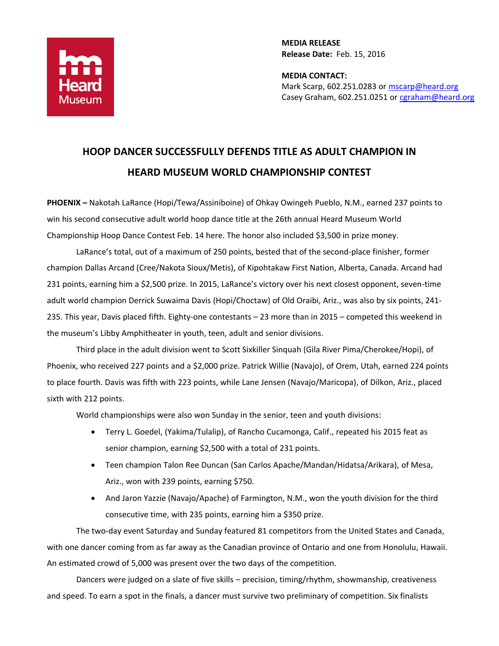

**MEDIA RELEASE Release Date:** Feb. 15, 2016

**MEDIA CONTACT:** Mark Scarp, 602.251.0283 o[r mscarp@heard.org](mailto:mscarp@heard.org) Casey Graham, 602.251.0251 or [cgraham@heard.org](mailto:cgraham@heard.org)

# **HOOP DANCER SUCCESSFULLY DEFENDS TITLE AS ADULT CHAMPION IN HEARD MUSEUM WORLD CHAMPIONSHIP CONTEST**

**PHOENIX –** Nakotah LaRance (Hopi/Tewa/Assiniboine) of Ohkay Owingeh Pueblo, N.M., earned 237 points to win his second consecutive adult world hoop dance title at the 26th annual Heard Museum World Championship Hoop Dance Contest Feb. 14 here. The honor also included \$3,500 in prize money.

LaRance's total, out of a maximum of 250 points, bested that of the second-place finisher, former champion Dallas Arcand (Cree/Nakota Sioux/Metis), of Kipohtakaw First Nation, Alberta, Canada. Arcand had 231 points, earning him a \$2,500 prize. In 2015, LaRance's victory over his next closest opponent, seven-time adult world champion Derrick Suwaima Davis (Hopi/Choctaw) of Old Oraibi, Ariz., was also by six points, 241- 235. This year, Davis placed fifth. Eighty-one contestants – 23 more than in 2015 – competed this weekend in the museum's Libby Amphitheater in youth, teen, adult and senior divisions.

Third place in the adult division went to Scott Sixkiller Sinquah (Gila River Pima/Cherokee/Hopi), of Phoenix, who received 227 points and a \$2,000 prize. Patrick Willie (Navajo), of Orem, Utah, earned 224 points to place fourth. Davis was fifth with 223 points, while Lane Jensen (Navajo/Maricopa), of Dilkon, Ariz., placed sixth with 212 points.

World championships were also won Sunday in the senior, teen and youth divisions:

- Terry L. Goedel, (Yakima/Tulalip), of Rancho Cucamonga, Calif., repeated his 2015 feat as senior champion, earning \$2,500 with a total of 231 points.
- Teen champion Talon Ree Duncan (San Carlos Apache/Mandan/Hidatsa/Arikara), of Mesa, Ariz., won with 239 points, earning \$750.
- And Jaron Yazzie (Navajo/Apache) of Farmington, N.M., won the youth division for the third consecutive time, with 235 points, earning him a \$350 prize.

The two-day event Saturday and Sunday featured 81 competitors from the United States and Canada, with one dancer coming from as far away as the Canadian province of Ontario and one from Honolulu, Hawaii. An estimated crowd of 5,000 was present over the two days of the competition.

Dancers were judged on a slate of five skills – precision, timing/rhythm, showmanship, creativeness and speed. To earn a spot in the finals, a dancer must survive two preliminary of competition. Six finalists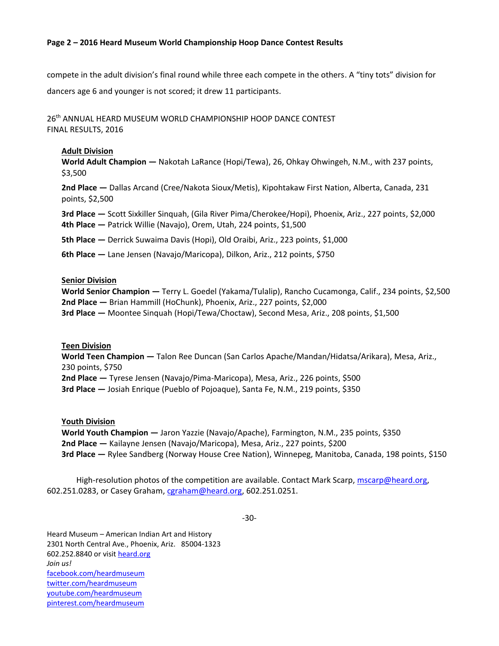## **Page 2 – 2016 Heard Museum World Championship Hoop Dance Contest Results**

compete in the adult division's final round while three each compete in the others. A "tiny tots" division for

dancers age 6 and younger is not scored; it drew 11 participants.

26 th ANNUAL HEARD MUSEUM WORLD CHAMPIONSHIP HOOP DANCE CONTEST FINAL RESULTS, 2016

## **Adult Division**

**World Adult Champion —** Nakotah LaRance (Hopi/Tewa), 26, Ohkay Ohwingeh, N.M., with 237 points, \$3,500

**2nd Place —** Dallas Arcand (Cree/Nakota Sioux/Metis), Kipohtakaw First Nation, Alberta, Canada, 231 points, \$2,500

**3rd Place —** Scott Sixkiller Sinquah, (Gila River Pima/Cherokee/Hopi), Phoenix, Ariz., 227 points, \$2,000 **4th Place —** Patrick Willie (Navajo), Orem, Utah, 224 points, \$1,500

**5th Place —** Derrick Suwaima Davis (Hopi), Old Oraibi, Ariz., 223 points, \$1,000

**6th Place —** Lane Jensen (Navajo/Maricopa), Dilkon, Ariz., 212 points, \$750

## **Senior Division**

**World Senior Champion —** Terry L. Goedel (Yakama/Tulalip), Rancho Cucamonga, Calif., 234 points, \$2,500 **2nd Place —** Brian Hammill (HoChunk), Phoenix, Ariz., 227 points, \$2,000 **3rd Place —** Moontee Sinquah (Hopi/Tewa/Choctaw), Second Mesa, Ariz., 208 points, \$1,500

#### **Teen Division**

**World Teen Champion —** Talon Ree Duncan (San Carlos Apache/Mandan/Hidatsa/Arikara), Mesa, Ariz., 230 points, \$750

**2nd Place —** Tyrese Jensen (Navajo/Pima-Maricopa), Mesa, Ariz., 226 points, \$500

**3rd Place —** Josiah Enrique (Pueblo of Pojoaque), Santa Fe, N.M., 219 points, \$350

## **Youth Division**

**World Youth Champion —** Jaron Yazzie (Navajo/Apache), Farmington, N.M., 235 points, \$350 **2nd Place —** Kailayne Jensen (Navajo/Maricopa), Mesa, Ariz., 227 points, \$200 **3rd Place —** Rylee Sandberg (Norway House Cree Nation), Winnepeg, Manitoba, Canada, 198 points, \$150

High-resolution photos of the competition are available. Contact Mark Scarp, [mscarp@heard.org,](mailto:mscarp@heard.org) 602.251.0283, or Casey Graham, [cgraham@heard.org,](mailto:cgraham@heard.org) 602.251.0251.

-30-

Heard Museum – American Indian Art and History 2301 North Central Ave., Phoenix, Ariz. 85004-1323 602.252.8840 or visit [heard.org](http://heard.org/) *Join us!* [facebook.com/heardmuseum](https://www.facebook.com/HeardMuseum) [twitter.com/heardmuseum](https://twitter.com/heardmuseum) [youtube.com/heardmuseum](http://www.youtube.com/heardmuseum) [pinterest.com/heardmuseum](http://www.pinterest.com/heardmuseum/)